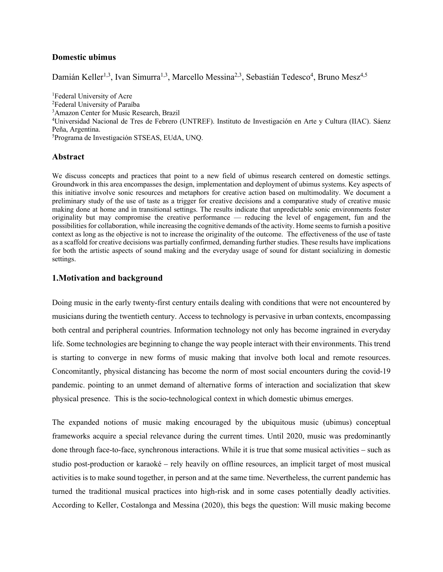# **Domestic ubimus**

Damián Keller<sup>1,3</sup>, Ivan Simurra<sup>1,3</sup>, Marcello Messina<sup>2,3</sup>, Sebastián Tedesco<sup>4</sup>, Bruno Mesz<sup>4,5</sup>

<sup>1</sup>Federal University of Acre Federal University of Paraíba Amazon Center for Music Research, Brazil Universidad Nacional de Tres de Febrero (UNTREF). Instituto de Investigación en Arte y Cultura (IIAC). Sáenz Peña, Argentina. Programa de Investigación STSEAS, EUdA, UNQ.

### **Abstract**

We discuss concepts and practices that point to a new field of ubimus research centered on domestic settings. Groundwork in this area encompasses the design, implementation and deployment of ubimus systems. Key aspects of this initiative involve sonic resources and metaphors for creative action based on multimodality. We document a preliminary study of the use of taste as a trigger for creative decisions and a comparative study of creative music making done at home and in transitional settings. The results indicate that unpredictable sonic environments foster originality but may compromise the creative performance — reducing the level of engagement, fun and the possibilities for collaboration, while increasing the cognitive demands of the activity. Home seems to furnish a positive context as long as the objective is not to increase the originality of the outcome. The effectiveness of the use of taste as a scaffold for creative decisions was partially confirmed, demanding further studies. These results have implications for both the artistic aspects of sound making and the everyday usage of sound for distant socializing in domestic settings.

# **1.Motivation and background**

Doing music in the early twenty-first century entails dealing with conditions that were not encountered by musicians during the twentieth century. Access to technology is pervasive in urban contexts, encompassing both central and peripheral countries. Information technology not only has become ingrained in everyday life. Some technologies are beginning to change the way people interact with their environments. This trend is starting to converge in new forms of music making that involve both local and remote resources. Concomitantly, physical distancing has become the norm of most social encounters during the covid-19 pandemic. pointing to an unmet demand of alternative forms of interaction and socialization that skew physical presence. This is the socio-technological context in which domestic ubimus emerges.

The expanded notions of music making encouraged by the ubiquitous music (ubimus) conceptual frameworks acquire a special relevance during the current times. Until 2020, music was predominantly done through face-to-face, synchronous interactions. While it is true that some musical activities – such as studio post-production or karaoké – rely heavily on offline resources, an implicit target of most musical activities is to make sound together, in person and at the same time. Nevertheless, the current pandemic has turned the traditional musical practices into high-risk and in some cases potentially deadly activities. According to Keller, Costalonga and Messina (2020), this begs the question: Will music making become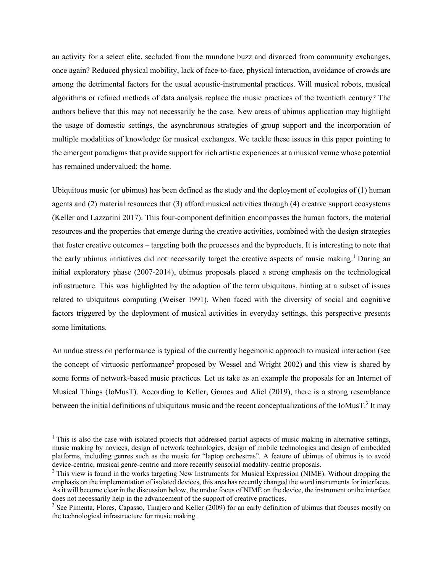an activity for a select elite, secluded from the mundane buzz and divorced from community exchanges, once again? Reduced physical mobility, lack of face-to-face, physical interaction, avoidance of crowds are among the detrimental factors for the usual acoustic-instrumental practices. Will musical robots, musical algorithms or refined methods of data analysis replace the music practices of the twentieth century? The authors believe that this may not necessarily be the case. New areas of ubimus application may highlight the usage of domestic settings, the asynchronous strategies of group support and the incorporation of multiple modalities of knowledge for musical exchanges. We tackle these issues in this paper pointing to the emergent paradigms that provide support for rich artistic experiences at a musical venue whose potential has remained undervalued: the home.

Ubiquitous music (or ubimus) has been defined as the study and the deployment of ecologies of (1) human agents and (2) material resources that (3) afford musical activities through (4) creative support ecosystems (Keller and Lazzarini 2017). This four-component definition encompasses the human factors, the material resources and the properties that emerge during the creative activities, combined with the design strategies that foster creative outcomes – targeting both the processes and the byproducts. It is interesting to note that the early ubimus initiatives did not necessarily target the creative aspects of music making.<sup>1</sup> During an initial exploratory phase (2007-2014), ubimus proposals placed a strong emphasis on the technological infrastructure. This was highlighted by the adoption of the term ubiquitous, hinting at a subset of issues related to ubiquitous computing (Weiser 1991). When faced with the diversity of social and cognitive factors triggered by the deployment of musical activities in everyday settings, this perspective presents some limitations.

An undue stress on performance is typical of the currently hegemonic approach to musical interaction (see the concept of virtuosic performance<sup>2</sup> proposed by Wessel and Wright 2002) and this view is shared by some forms of network-based music practices. Let us take as an example the proposals for an Internet of Musical Things (IoMusT). According to Keller, Gomes and Aliel (2019), there is a strong resemblance between the initial definitions of ubiquitous music and the recent conceptualizations of the IoMusT. $3$  It may

 $<sup>1</sup>$  This is also the case with isolated projects that addressed partial aspects of music making in alternative settings,</sup> music making by novices, design of network technologies, design of mobile technologies and design of embedded platforms, including genres such as the music for "laptop orchestras". A feature of ubimus of ubimus is to avoid device-centric, musical genre-centric and more recently sensorial modality-centric proposals.

<sup>&</sup>lt;sup>2</sup> This view is found in the works targeting New Instruments for Musical Expression (NIME). Without dropping the emphasis on the implementation of isolated devices, this area has recently changed the word instruments for interfaces. As it will become clear in the discussion below, the undue focus of NIME on the device, the instrument or the interface does not necessarily help in the advancement of the support of creative practices.

<sup>&</sup>lt;sup>3</sup> See Pimenta, Flores, Capasso, Tinajero and Keller (2009) for an early definition of ubimus that focuses mostly on the technological infrastructure for music making.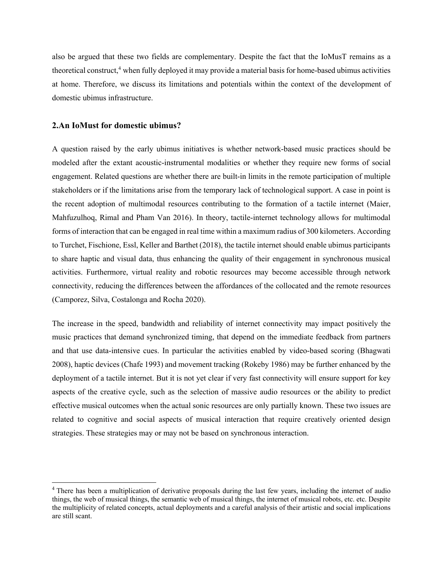also be argued that these two fields are complementary. Despite the fact that the IoMusT remains as a theoretical construct,<sup>4</sup> when fully deployed it may provide a material basis for home-based ubimus activities at home. Therefore, we discuss its limitations and potentials within the context of the development of domestic ubimus infrastructure.

### **2.An IoMust for domestic ubimus?**

A question raised by the early ubimus initiatives is whether network-based music practices should be modeled after the extant acoustic-instrumental modalities or whether they require new forms of social engagement. Related questions are whether there are built-in limits in the remote participation of multiple stakeholders or if the limitations arise from the temporary lack of technological support. A case in point is the recent adoption of multimodal resources contributing to the formation of a tactile internet (Maier, Mahfuzulhoq, Rimal and Pham Van 2016). In theory, tactile-internet technology allows for multimodal forms of interaction that can be engaged in real time within a maximum radius of 300 kilometers. According to Turchet, Fischione, Essl, Keller and Barthet (2018), the tactile internet should enable ubimus participants to share haptic and visual data, thus enhancing the quality of their engagement in synchronous musical activities. Furthermore, virtual reality and robotic resources may become accessible through network connectivity, reducing the differences between the affordances of the collocated and the remote resources (Camporez, Silva, Costalonga and Rocha 2020).

The increase in the speed, bandwidth and reliability of internet connectivity may impact positively the music practices that demand synchronized timing, that depend on the immediate feedback from partners and that use data-intensive cues. In particular the activities enabled by video-based scoring (Bhagwati 2008), haptic devices (Chafe 1993) and movement tracking (Rokeby 1986) may be further enhanced by the deployment of a tactile internet. But it is not yet clear if very fast connectivity will ensure support for key aspects of the creative cycle, such as the selection of massive audio resources or the ability to predict effective musical outcomes when the actual sonic resources are only partially known. These two issues are related to cognitive and social aspects of musical interaction that require creatively oriented design strategies. These strategies may or may not be based on synchronous interaction.

<sup>&</sup>lt;sup>4</sup> There has been a multiplication of derivative proposals during the last few years, including the internet of audio things, the web of musical things, the semantic web of musical things, the internet of musical robots, etc. etc. Despite the multiplicity of related concepts, actual deployments and a careful analysis of their artistic and social implications are still scant.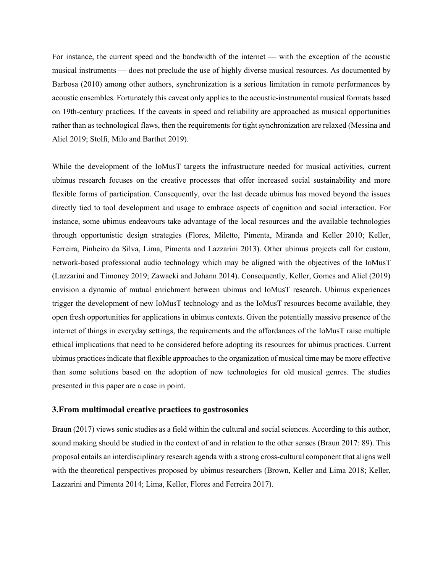For instance, the current speed and the bandwidth of the internet — with the exception of the acoustic musical instruments — does not preclude the use of highly diverse musical resources. As documented by Barbosa (2010) among other authors, synchronization is a serious limitation in remote performances by acoustic ensembles. Fortunately this caveat only applies to the acoustic-instrumental musical formats based on 19th-century practices. If the caveats in speed and reliability are approached as musical opportunities rather than as technological flaws, then the requirements for tight synchronization are relaxed (Messina and Aliel 2019; Stolfi, Milo and Barthet 2019).

While the development of the IoMusT targets the infrastructure needed for musical activities, current ubimus research focuses on the creative processes that offer increased social sustainability and more flexible forms of participation. Consequently, over the last decade ubimus has moved beyond the issues directly tied to tool development and usage to embrace aspects of cognition and social interaction. For instance, some ubimus endeavours take advantage of the local resources and the available technologies through opportunistic design strategies (Flores, Miletto, Pimenta, Miranda and Keller 2010; Keller, Ferreira, Pinheiro da Silva, Lima, Pimenta and Lazzarini 2013). Other ubimus projects call for custom, network-based professional audio technology which may be aligned with the objectives of the IoMusT (Lazzarini and Timoney 2019; Zawacki and Johann 2014). Consequently, Keller, Gomes and Aliel (2019) envision a dynamic of mutual enrichment between ubimus and IoMusT research. Ubimus experiences trigger the development of new IoMusT technology and as the IoMusT resources become available, they open fresh opportunities for applications in ubimus contexts. Given the potentially massive presence of the internet of things in everyday settings, the requirements and the affordances of the IoMusT raise multiple ethical implications that need to be considered before adopting its resources for ubimus practices. Current ubimus practices indicate that flexible approaches to the organization of musical time may be more effective than some solutions based on the adoption of new technologies for old musical genres. The studies presented in this paper are a case in point.

# **3.From multimodal creative practices to gastrosonics**

Braun (2017) views sonic studies as a field within the cultural and social sciences. According to this author, sound making should be studied in the context of and in relation to the other senses (Braun 2017: 89). This proposal entails an interdisciplinary research agenda with a strong cross-cultural component that aligns well with the theoretical perspectives proposed by ubimus researchers (Brown, Keller and Lima 2018; Keller, Lazzarini and Pimenta 2014; Lima, Keller, Flores and Ferreira 2017).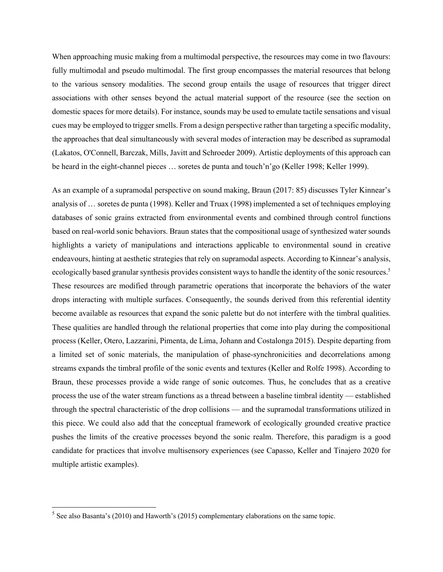When approaching music making from a multimodal perspective, the resources may come in two flavours: fully multimodal and pseudo multimodal. The first group encompasses the material resources that belong to the various sensory modalities. The second group entails the usage of resources that trigger direct associations with other senses beyond the actual material support of the resource (see the section on domestic spaces for more details). For instance, sounds may be used to emulate tactile sensations and visual cues may be employed to trigger smells. From a design perspective rather than targeting a specific modality, the approaches that deal simultaneously with several modes of interaction may be described as supramodal (Lakatos, O'Connell, Barczak, Mills, Javitt and Schroeder 2009). Artistic deployments of this approach can be heard in the eight-channel pieces … soretes de punta and touch'n'go (Keller 1998; Keller 1999).

As an example of a supramodal perspective on sound making, Braun (2017: 85) discusses Tyler Kinnear's analysis of … soretes de punta (1998). Keller and Truax (1998) implemented a set of techniques employing databases of sonic grains extracted from environmental events and combined through control functions based on real-world sonic behaviors. Braun states that the compositional usage of synthesized water sounds highlights a variety of manipulations and interactions applicable to environmental sound in creative endeavours, hinting at aesthetic strategies that rely on supramodal aspects. According to Kinnear's analysis, ecologically based granular synthesis provides consistent ways to handle the identity of the sonic resources.<sup>5</sup> These resources are modified through parametric operations that incorporate the behaviors of the water drops interacting with multiple surfaces. Consequently, the sounds derived from this referential identity become available as resources that expand the sonic palette but do not interfere with the timbral qualities. These qualities are handled through the relational properties that come into play during the compositional process (Keller, Otero, Lazzarini, Pimenta, de Lima, Johann and Costalonga 2015). Despite departing from a limited set of sonic materials, the manipulation of phase-synchronicities and decorrelations among streams expands the timbral profile of the sonic events and textures (Keller and Rolfe 1998). According to Braun, these processes provide a wide range of sonic outcomes. Thus, he concludes that as a creative process the use of the water stream functions as a thread between a baseline timbral identity — established through the spectral characteristic of the drop collisions — and the supramodal transformations utilized in this piece. We could also add that the conceptual framework of ecologically grounded creative practice pushes the limits of the creative processes beyond the sonic realm. Therefore, this paradigm is a good candidate for practices that involve multisensory experiences (see Capasso, Keller and Tinajero 2020 for multiple artistic examples).

 $<sup>5</sup>$  See also Basanta's (2010) and Haworth's (2015) complementary elaborations on the same topic.</sup>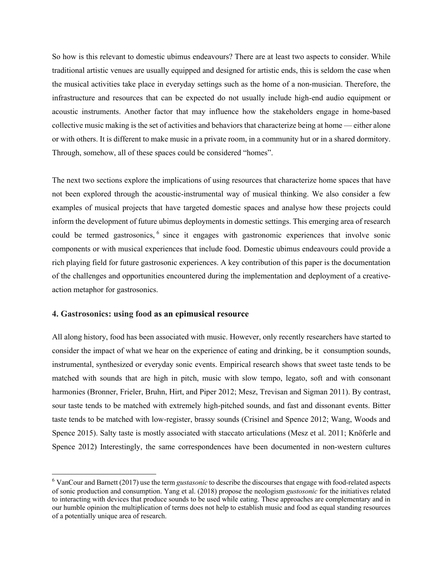So how is this relevant to domestic ubimus endeavours? There are at least two aspects to consider. While traditional artistic venues are usually equipped and designed for artistic ends, this is seldom the case when the musical activities take place in everyday settings such as the home of a non-musician. Therefore, the infrastructure and resources that can be expected do not usually include high-end audio equipment or acoustic instruments. Another factor that may influence how the stakeholders engage in home-based collective music making is the set of activities and behaviors that characterize being at home — either alone or with others. It is different to make music in a private room, in a community hut or in a shared dormitory. Through, somehow, all of these spaces could be considered "homes".

The next two sections explore the implications of using resources that characterize home spaces that have not been explored through the acoustic-instrumental way of musical thinking. We also consider a few examples of musical projects that have targeted domestic spaces and analyse how these projects could inform the development of future ubimus deployments in domestic settings. This emerging area of research could be termed gastrosonics, <sup>6</sup> since it engages with gastronomic experiences that involve sonic components or with musical experiences that include food. Domestic ubimus endeavours could provide a rich playing field for future gastrosonic experiences. A key contribution of this paper is the documentation of the challenges and opportunities encountered during the implementation and deployment of a creativeaction metaphor for gastrosonics.

# **4. Gastrosonics: using food as an epimusical resource**

All along history, food has been associated with music. However, only recently researchers have started to consider the impact of what we hear on the experience of eating and drinking, be it consumption sounds, instrumental, synthesized or everyday sonic events. Empirical research shows that sweet taste tends to be matched with sounds that are high in pitch, music with slow tempo, legato, soft and with consonant harmonies (Bronner, Frieler, Bruhn, Hirt, and Piper 2012; Mesz, Trevisan and Sigman 2011). By contrast, sour taste tends to be matched with extremely high-pitched sounds, and fast and dissonant events. Bitter taste tends to be matched with low-register, brassy sounds (Crisinel and Spence 2012; Wang, Woods and Spence 2015). Salty taste is mostly associated with staccato articulations (Mesz et al. 2011; Knöferle and Spence 2012) Interestingly, the same correspondences have been documented in non-western cultures

 <sup>6</sup> VanCour and Barnett (2017) use the term *gustasonic* to describe the discourses that engage with food-related aspects of sonic production and consumption. Yang et al. (2018) propose the neologism *gustosonic* for the initiatives related to interacting with devices that produce sounds to be used while eating. These approaches are complementary and in our humble opinion the multiplication of terms does not help to establish music and food as equal standing resources of a potentially unique area of research.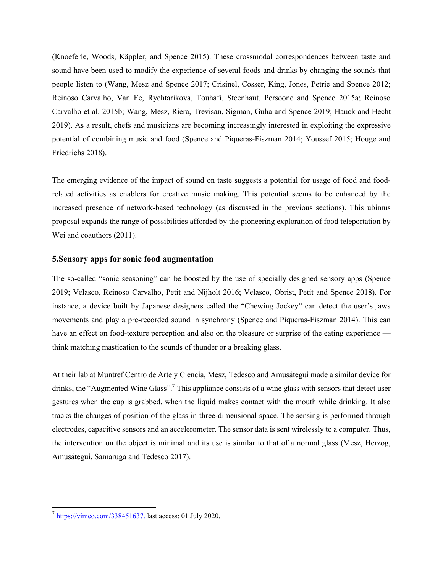(Knoeferle, Woods, Käppler, and Spence 2015). These crossmodal correspondences between taste and sound have been used to modify the experience of several foods and drinks by changing the sounds that people listen to (Wang, Mesz and Spence 2017; Crisinel, Cosser, King, Jones, Petrie and Spence 2012; Reinoso Carvalho, Van Ee, Rychtarikova, Touhafi, Steenhaut, Persoone and Spence 2015a; Reinoso Carvalho et al. 2015b; Wang, Mesz, Riera, Trevisan, Sigman, Guha and Spence 2019; Hauck and Hecht 2019). As a result, chefs and musicians are becoming increasingly interested in exploiting the expressive potential of combining music and food (Spence and Piqueras-Fiszman 2014; Youssef 2015; Houge and Friedrichs 2018).

The emerging evidence of the impact of sound on taste suggests a potential for usage of food and foodrelated activities as enablers for creative music making. This potential seems to be enhanced by the increased presence of network-based technology (as discussed in the previous sections). This ubimus proposal expands the range of possibilities afforded by the pioneering exploration of food teleportation by Wei and coauthors (2011).

### **5.Sensory apps for sonic food augmentation**

The so-called "sonic seasoning" can be boosted by the use of specially designed sensory apps (Spence 2019; Velasco, Reinoso Carvalho, Petit and Nijholt 2016; Velasco, Obrist, Petit and Spence 2018). For instance, a device built by Japanese designers called the "Chewing Jockey" can detect the user's jaws movements and play a pre-recorded sound in synchrony (Spence and Piqueras-Fiszman 2014). This can have an effect on food-texture perception and also on the pleasure or surprise of the eating experience think matching mastication to the sounds of thunder or a breaking glass.

At their lab at Muntref Centro de Arte y Ciencia, Mesz, Tedesco and Amusátegui made a similar device for drinks, the "Augmented Wine Glass".<sup>7</sup> This appliance consists of a wine glass with sensors that detect user gestures when the cup is grabbed, when the liquid makes contact with the mouth while drinking. It also tracks the changes of position of the glass in three-dimensional space. The sensing is performed through electrodes, capacitive sensors and an accelerometer. The sensor data is sent wirelessly to a computer. Thus, the intervention on the object is minimal and its use is similar to that of a normal glass (Mesz, Herzog, Amusátegui, Samaruga and Tedesco 2017).

 $^7$  https://vimeo.com/338451637. last access: 01 July 2020.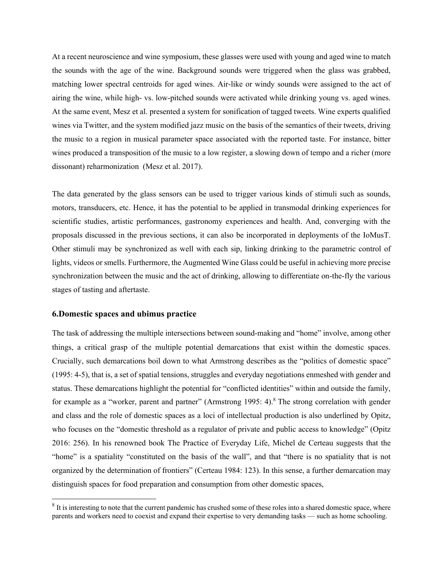At a recent neuroscience and wine symposium, these glasses were used with young and aged wine to match the sounds with the age of the wine. Background sounds were triggered when the glass was grabbed, matching lower spectral centroids for aged wines. Air-like or windy sounds were assigned to the act of airing the wine, while high- vs. low-pitched sounds were activated while drinking young vs. aged wines. At the same event, Mesz et al. presented a system for sonification of tagged tweets. Wine experts qualified wines via Twitter, and the system modified jazz music on the basis of the semantics of their tweets, driving the music to a region in musical parameter space associated with the reported taste. For instance, bitter wines produced a transposition of the music to a low register, a slowing down of tempo and a richer (more dissonant) reharmonization (Mesz et al. 2017).

The data generated by the glass sensors can be used to trigger various kinds of stimuli such as sounds, motors, transducers, etc. Hence, it has the potential to be applied in transmodal drinking experiences for scientific studies, artistic performances, gastronomy experiences and health. And, converging with the proposals discussed in the previous sections, it can also be incorporated in deployments of the IoMusT. Other stimuli may be synchronized as well with each sip, linking drinking to the parametric control of lights, videos or smells. Furthermore, the Augmented Wine Glass could be useful in achieving more precise synchronization between the music and the act of drinking, allowing to differentiate on-the-fly the various stages of tasting and aftertaste.

# **6.Domestic spaces and ubimus practice**

The task of addressing the multiple intersections between sound-making and "home" involve, among other things, a critical grasp of the multiple potential demarcations that exist within the domestic spaces. Crucially, such demarcations boil down to what Armstrong describes as the "politics of domestic space" (1995: 4-5), that is, a set of spatial tensions, struggles and everyday negotiations enmeshed with gender and status. These demarcations highlight the potential for "conflicted identities" within and outside the family, for example as a "worker, parent and partner" (Armstrong 1995: 4).<sup>8</sup> The strong correlation with gender and class and the role of domestic spaces as a loci of intellectual production is also underlined by Opitz, who focuses on the "domestic threshold as a regulator of private and public access to knowledge" (Opitz 2016: 256). In his renowned book The Practice of Everyday Life, Michel de Certeau suggests that the "home" is a spatiality "constituted on the basis of the wall", and that "there is no spatiality that is not organized by the determination of frontiers" (Certeau 1984: 123). In this sense, a further demarcation may distinguish spaces for food preparation and consumption from other domestic spaces,

<sup>&</sup>lt;sup>8</sup> It is interesting to note that the current pandemic has crushed some of these roles into a shared domestic space, where parents and workers need to coexist and expand their expertise to very demanding tasks — such as home schooling.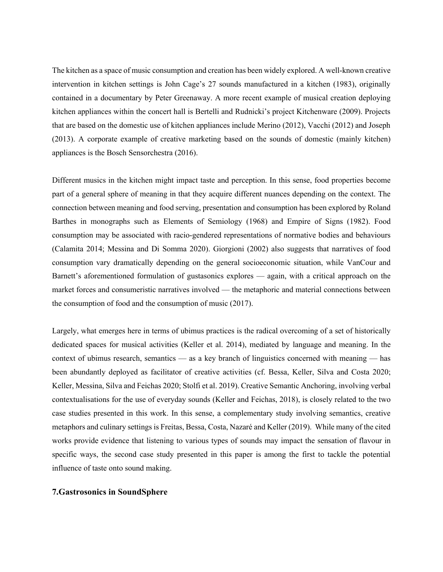The kitchen as a space of music consumption and creation has been widely explored. A well-known creative intervention in kitchen settings is John Cage's 27 sounds manufactured in a kitchen (1983), originally contained in a documentary by Peter Greenaway. A more recent example of musical creation deploying kitchen appliances within the concert hall is Bertelli and Rudnicki's project Kitchenware (2009). Projects that are based on the domestic use of kitchen appliances include Merino (2012), Vacchi (2012) and Joseph (2013). A corporate example of creative marketing based on the sounds of domestic (mainly kitchen) appliances is the Bosch Sensorchestra (2016).

Different musics in the kitchen might impact taste and perception. In this sense, food properties become part of a general sphere of meaning in that they acquire different nuances depending on the context. The connection between meaning and food serving, presentation and consumption has been explored by Roland Barthes in monographs such as Elements of Semiology (1968) and Empire of Signs (1982). Food consumption may be associated with racio-gendered representations of normative bodies and behaviours (Calamita 2014; Messina and Di Somma 2020). Giorgioni (2002) also suggests that narratives of food consumption vary dramatically depending on the general socioeconomic situation, while VanCour and Barnett's aforementioned formulation of gustasonics explores — again, with a critical approach on the market forces and consumeristic narratives involved — the metaphoric and material connections between the consumption of food and the consumption of music (2017).

Largely, what emerges here in terms of ubimus practices is the radical overcoming of a set of historically dedicated spaces for musical activities (Keller et al. 2014), mediated by language and meaning. In the context of ubimus research, semantics — as a key branch of linguistics concerned with meaning — has been abundantly deployed as facilitator of creative activities (cf. Bessa, Keller, Silva and Costa 2020; Keller, Messina, Silva and Feichas 2020; Stolfi et al. 2019). Creative Semantic Anchoring, involving verbal contextualisations for the use of everyday sounds (Keller and Feichas, 2018), is closely related to the two case studies presented in this work. In this sense, a complementary study involving semantics, creative metaphors and culinary settings is Freitas, Bessa, Costa, Nazaré and Keller (2019). While many of the cited works provide evidence that listening to various types of sounds may impact the sensation of flavour in specific ways, the second case study presented in this paper is among the first to tackle the potential influence of taste onto sound making.

# **7.Gastrosonics in SoundSphere**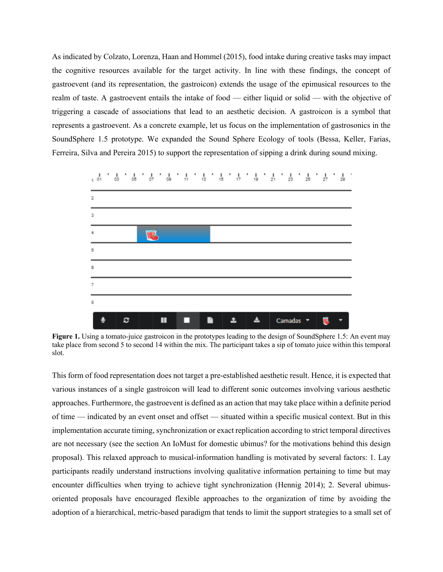As indicated by Colzato, Lorenza, Haan and Hommel (2015), food intake during creative tasks may impact the cognitive resources available for the target activity. In line with these findings, the concept of gastroevent (and its representation, the gastroicon) extends the usage of the epimusical resources to the realm of taste. A gastroevent entails the intake of food — either liquid or solid — with the objective of triggering a cascade of associations that lead to an aesthetic decision. A gastroicon is a symbol that represents a gastroevent. As a concrete example, let us focus on the implementation of gastrosonics in the SoundSphere 1.5 prototype. We expanded the Sound Sphere Ecology of tools (Bessa, Keller, Farias, Ferreira, Silva and Pereira 2015) to support the representation of sipping a drink during sound mixing.



**Figure 1.** Using a tomato-juice gastroicon in the prototypes leading to the design of SoundSphere 1.5: An event may take place from second 5 to second 14 within the mix. The participant takes a sip of tomato juice within this temporal slot.

This form of food representation does not target a pre-established aesthetic result. Hence, it is expected that various instances of a single gastroicon will lead to different sonic outcomes involving various aesthetic approaches. Furthermore, the gastroevent is defined as an action that may take place within a definite period of time — indicated by an event onset and offset — situated within a specific musical context. But in this implementation accurate timing, synchronization or exact replication according to strict temporal directives are not necessary (see the section An IoMust for domestic ubimus? for the motivations behind this design proposal). This relaxed approach to musical-information handling is motivated by several factors: 1. Lay participants readily understand instructions involving qualitative information pertaining to time but may encounter difficulties when trying to achieve tight synchronization (Hennig 2014); 2. Several ubimusoriented proposals have encouraged flexible approaches to the organization of time by avoiding the adoption of a hierarchical, metric-based paradigm that tends to limit the support strategies to a small set of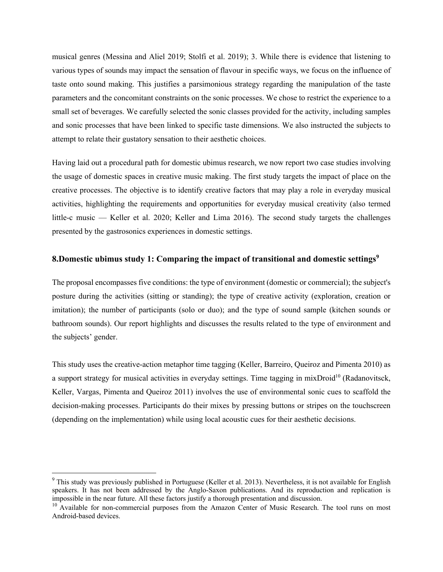musical genres (Messina and Aliel 2019; Stolfi et al. 2019); 3. While there is evidence that listening to various types of sounds may impact the sensation of flavour in specific ways, we focus on the influence of taste onto sound making. This justifies a parsimonious strategy regarding the manipulation of the taste parameters and the concomitant constraints on the sonic processes. We chose to restrict the experience to a small set of beverages. We carefully selected the sonic classes provided for the activity, including samples and sonic processes that have been linked to specific taste dimensions. We also instructed the subjects to attempt to relate their gustatory sensation to their aesthetic choices.

Having laid out a procedural path for domestic ubimus research, we now report two case studies involving the usage of domestic spaces in creative music making. The first study targets the impact of place on the creative processes. The objective is to identify creative factors that may play a role in everyday musical activities, highlighting the requirements and opportunities for everyday musical creativity (also termed little-c music — Keller et al. 2020; Keller and Lima 2016). The second study targets the challenges presented by the gastrosonics experiences in domestic settings.

# **8.Domestic ubimus study 1: Comparing the impact of transitional and domestic settings9**

The proposal encompasses five conditions: the type of environment (domestic or commercial); the subject's posture during the activities (sitting or standing); the type of creative activity (exploration, creation or imitation); the number of participants (solo or duo); and the type of sound sample (kitchen sounds or bathroom sounds). Our report highlights and discusses the results related to the type of environment and the subjects' gender.

This study uses the creative-action metaphor time tagging (Keller, Barreiro, Queiroz and Pimenta 2010) as a support strategy for musical activities in everyday settings. Time tagging in mixDroid<sup>10</sup> (Radanovitsck, Keller, Vargas, Pimenta and Queiroz 2011) involves the use of environmental sonic cues to scaffold the decision-making processes. Participants do their mixes by pressing buttons or stripes on the touchscreen (depending on the implementation) while using local acoustic cues for their aesthetic decisions.

<sup>&</sup>lt;sup>9</sup> This study was previously published in Portuguese (Keller et al. 2013). Nevertheless, it is not available for English speakers. It has not been addressed by the Anglo-Saxon publications. And its reproduction and replication is impossible in the near future. All these factors justify a thorough presentation and discussion.

<sup>&</sup>lt;sup>10</sup> Available for non-commercial purposes from the Amazon Center of Music Research. The tool runs on most Android-based devices.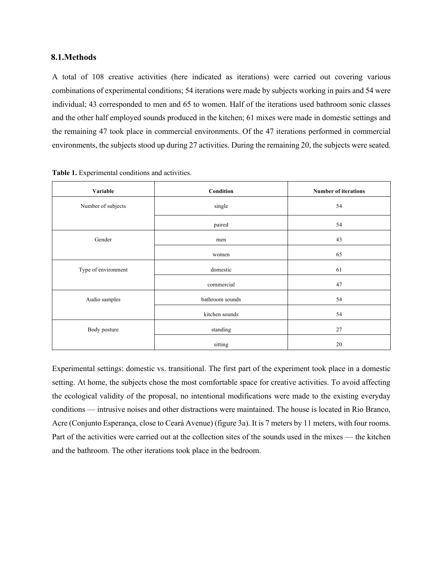# **8.1.Methods**

A total of 108 creative activities (here indicated as iterations) were carried out covering various combinations of experimental conditions; 54 iterations were made by subjects working in pairs and 54 were individual; 43 corresponded to men and 65 to women. Half of the iterations used bathroom sonic classes and the other half employed sounds produced in the kitchen; 61 mixes were made in domestic settings and the remaining 47 took place in commercial environments. Of the 47 iterations performed in commercial environments, the subjects stood up during 27 activities. During the remaining 20, the subjects were seated.

| Variable            | Condition       | <b>Number of iterations</b> |
|---------------------|-----------------|-----------------------------|
| Number of subjects  | single          | 54                          |
|                     | paired          | 54                          |
| Gender              | men             | 43                          |
|                     | women           | 65                          |
| Type of environment | domestic        | 61                          |
|                     | commercial      | 47                          |
| Audio samples       | bathroom sounds | 54                          |
|                     | kitchen sounds  | 54                          |
| Body posture        | standing        | 27                          |
|                     | sitting         | 20                          |

**Table 1.** Experimental conditions and activities.

Experimental settings: domestic vs. transitional. The first part of the experiment took place in a domestic setting. At home, the subjects chose the most comfortable space for creative activities. To avoid affecting the ecological validity of the proposal, no intentional modifications were made to the existing everyday conditions — intrusive noises and other distractions were maintained. The house is located in Rio Branco, Acre (Conjunto Esperança, close to Ceará Avenue) (figure 3a). It is 7 meters by 11 meters, with four rooms. Part of the activities were carried out at the collection sites of the sounds used in the mixes — the kitchen and the bathroom. The other iterations took place in the bedroom.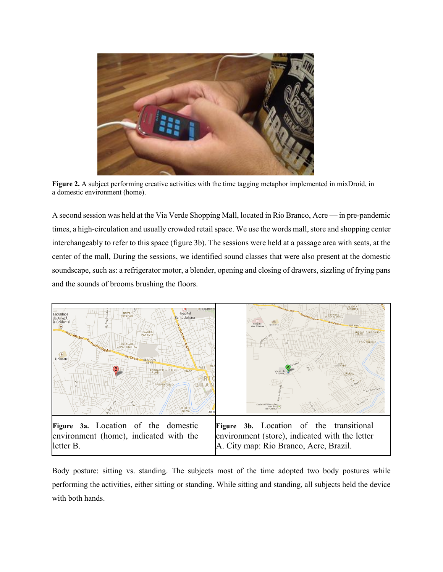

**Figure 2.** A subject performing creative activities with the time tagging metaphor implemented in mixDroid, in a domestic environment (home).

A second session was held at the Via Verde Shopping Mall, located in Rio Branco, Acre — in pre-pandemic times, a high-circulation and usually crowded retail space. We use the words mall, store and shopping center interchangeably to refer to this space (figure 3b). The sessions were held at a passage area with seats, at the center of the mall, During the sessions, we identified sound classes that were also present at the domestic soundscape, such as: a refrigerator motor, a blender, opening and closing of drawers, sizzling of frying pans and the sounds of brooms brushing the floors.



Body posture: sitting vs. standing. The subjects most of the time adopted two body postures while performing the activities, either sitting or standing. While sitting and standing, all subjects held the device with both hands.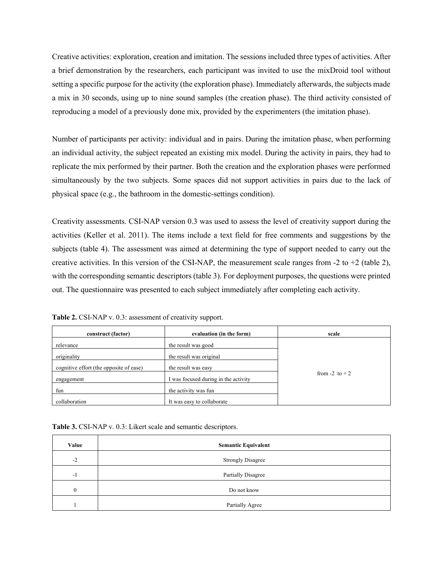Creative activities: exploration, creation and imitation. The sessions included three types of activities. After a brief demonstration by the researchers, each participant was invited to use the mixDroid tool without setting a specific purpose for the activity (the exploration phase). Immediately afterwards, the subjects made a mix in 30 seconds, using up to nine sound samples (the creation phase). The third activity consisted of reproducing a model of a previously done mix, provided by the experimenters (the imitation phase).

Number of participants per activity: individual and in pairs. During the imitation phase, when performing an individual activity, the subject repeated an existing mix model. During the activity in pairs, they had to replicate the mix performed by their partner. Both the creation and the exploration phases were performed simultaneously by the two subjects. Some spaces did not support activities in pairs due to the lack of physical space (e.g., the bathroom in the domestic-settings condition).

Creativity assessments. CSI-NAP version 0.3 was used to assess the level of creativity support during the activities (Keller et al. 2011). The items include a text field for free comments and suggestions by the subjects (table 4). The assessment was aimed at determining the type of support needed to carry out the creative activities. In this version of the CSI-NAP, the measurement scale ranges from -2 to +2 (table 2), with the corresponding semantic descriptors (table 3). For deployment purposes, the questions were printed out. The questionnaire was presented to each subject immediately after completing each activity.

Table 2. CSI-NAP v. 0.3: assessment of creativity support.

| construct (factor)                      | evaluation (in the form)             | scale             |
|-----------------------------------------|--------------------------------------|-------------------|
| relevance                               | the result was good                  |                   |
| originality                             | the result was original              |                   |
| cognitive effort (the opposite of ease) | the result was easy                  |                   |
| engagement                              | I was focused during in the activity | from $-2$ to $+2$ |
| fun                                     | the activity was fun                 |                   |
| collaboration                           | It was easy to collaborate           |                   |

**Table 3.** CSI-NAP v. 0.3: Likert scale and semantic descriptors.

| Value                 | <b>Semantic Equivalent</b> |
|-----------------------|----------------------------|
| $-2$                  | <b>Strongly Disagree</b>   |
| $\overline{1}$<br>- 1 | Partially Disagree         |
|                       | Do not know                |
|                       | Partially Agree            |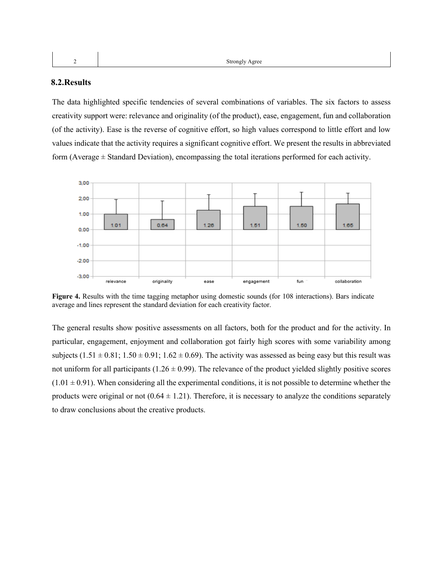### **8.2.Results**

The data highlighted specific tendencies of several combinations of variables. The six factors to assess creativity support were: relevance and originality (of the product), ease, engagement, fun and collaboration (of the activity). Ease is the reverse of cognitive effort, so high values correspond to little effort and low values indicate that the activity requires a significant cognitive effort. We present the results in abbreviated form (Average  $\pm$  Standard Deviation), encompassing the total iterations performed for each activity.



**Figure 4.** Results with the time tagging metaphor using domestic sounds (for 108 interactions). Bars indicate average and lines represent the standard deviation for each creativity factor.

The general results show positive assessments on all factors, both for the product and for the activity. In particular, engagement, enjoyment and collaboration got fairly high scores with some variability among subjects  $(1.51 \pm 0.81; 1.50 \pm 0.91; 1.62 \pm 0.69)$ . The activity was assessed as being easy but this result was not uniform for all participants ( $1.26 \pm 0.99$ ). The relevance of the product yielded slightly positive scores  $(1.01 \pm 0.91)$ . When considering all the experimental conditions, it is not possible to determine whether the products were original or not  $(0.64 \pm 1.21)$ . Therefore, it is necessary to analyze the conditions separately to draw conclusions about the creative products.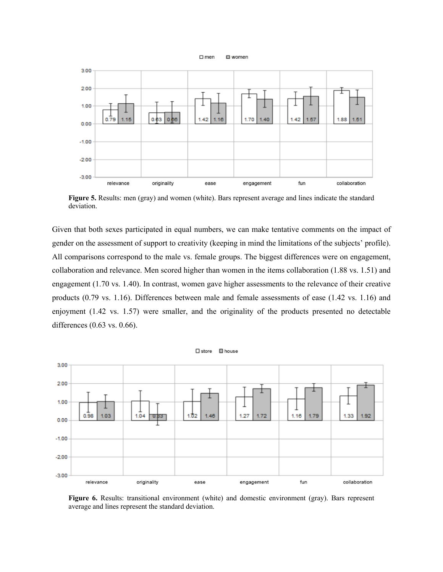



**Figure 5.** Results: men (gray) and women (white). Bars represent average and lines indicate the standard deviation.

Given that both sexes participated in equal numbers, we can make tentative comments on the impact of gender on the assessment of support to creativity (keeping in mind the limitations of the subjects' profile). All comparisons correspond to the male vs. female groups. The biggest differences were on engagement, collaboration and relevance. Men scored higher than women in the items collaboration (1.88 vs. 1.51) and engagement (1.70 vs. 1.40). In contrast, women gave higher assessments to the relevance of their creative products (0.79 vs. 1.16). Differences between male and female assessments of ease (1.42 vs. 1.16) and enjoyment (1.42 vs. 1.57) were smaller, and the originality of the products presented no detectable differences (0.63 vs. 0.66).



**Figure 6.** Results: transitional environment (white) and domestic environment (gray). Bars represent average and lines represent the standard deviation.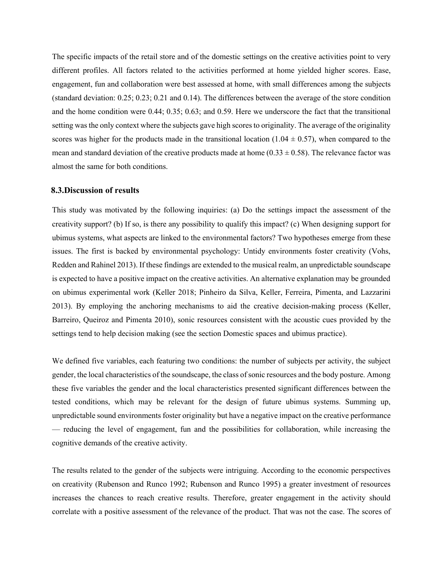The specific impacts of the retail store and of the domestic settings on the creative activities point to very different profiles. All factors related to the activities performed at home yielded higher scores. Ease, engagement, fun and collaboration were best assessed at home, with small differences among the subjects (standard deviation: 0.25; 0.23; 0.21 and 0.14). The differences between the average of the store condition and the home condition were 0.44; 0.35; 0.63; and 0.59. Here we underscore the fact that the transitional setting was the only context where the subjects gave high scores to originality. The average of the originality scores was higher for the products made in the transitional location (1.04  $\pm$  0.57), when compared to the mean and standard deviation of the creative products made at home  $(0.33 \pm 0.58)$ . The relevance factor was almost the same for both conditions.

#### **8.3.Discussion of results**

This study was motivated by the following inquiries: (a) Do the settings impact the assessment of the creativity support? (b) If so, is there any possibility to qualify this impact? (c) When designing support for ubimus systems, what aspects are linked to the environmental factors? Two hypotheses emerge from these issues. The first is backed by environmental psychology: Untidy environments foster creativity (Vohs, Redden and Rahinel 2013). If these findings are extended to the musical realm, an unpredictable soundscape is expected to have a positive impact on the creative activities. An alternative explanation may be grounded on ubimus experimental work (Keller 2018; Pinheiro da Silva, Keller, Ferreira, Pimenta, and Lazzarini 2013). By employing the anchoring mechanisms to aid the creative decision-making process (Keller, Barreiro, Queiroz and Pimenta 2010), sonic resources consistent with the acoustic cues provided by the settings tend to help decision making (see the section Domestic spaces and ubimus practice).

We defined five variables, each featuring two conditions: the number of subjects per activity, the subject gender, the local characteristics of the soundscape, the class of sonic resources and the body posture. Among these five variables the gender and the local characteristics presented significant differences between the tested conditions, which may be relevant for the design of future ubimus systems. Summing up, unpredictable sound environments foster originality but have a negative impact on the creative performance — reducing the level of engagement, fun and the possibilities for collaboration, while increasing the cognitive demands of the creative activity.

The results related to the gender of the subjects were intriguing. According to the economic perspectives on creativity (Rubenson and Runco 1992; Rubenson and Runco 1995) a greater investment of resources increases the chances to reach creative results. Therefore, greater engagement in the activity should correlate with a positive assessment of the relevance of the product. That was not the case. The scores of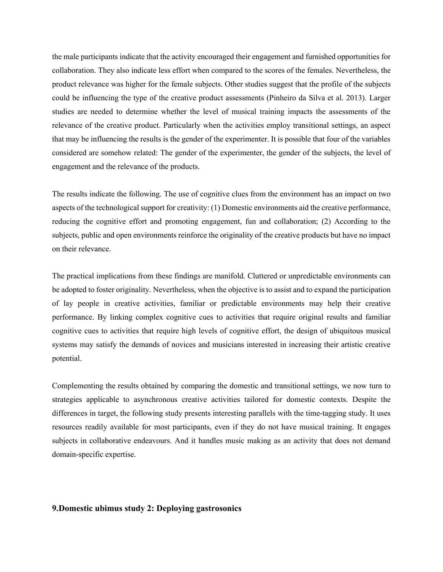the male participants indicate that the activity encouraged their engagement and furnished opportunities for collaboration. They also indicate less effort when compared to the scores of the females. Nevertheless, the product relevance was higher for the female subjects. Other studies suggest that the profile of the subjects could be influencing the type of the creative product assessments (Pinheiro da Silva et al. 2013). Larger studies are needed to determine whether the level of musical training impacts the assessments of the relevance of the creative product. Particularly when the activities employ transitional settings, an aspect that may be influencing the results is the gender of the experimenter. It is possible that four of the variables considered are somehow related: The gender of the experimenter, the gender of the subjects, the level of engagement and the relevance of the products.

The results indicate the following. The use of cognitive clues from the environment has an impact on two aspects of the technological support for creativity: (1) Domestic environments aid the creative performance, reducing the cognitive effort and promoting engagement, fun and collaboration; (2) According to the subjects, public and open environments reinforce the originality of the creative products but have no impact on their relevance.

The practical implications from these findings are manifold. Cluttered or unpredictable environments can be adopted to foster originality. Nevertheless, when the objective is to assist and to expand the participation of lay people in creative activities, familiar or predictable environments may help their creative performance. By linking complex cognitive cues to activities that require original results and familiar cognitive cues to activities that require high levels of cognitive effort, the design of ubiquitous musical systems may satisfy the demands of novices and musicians interested in increasing their artistic creative potential.

Complementing the results obtained by comparing the domestic and transitional settings, we now turn to strategies applicable to asynchronous creative activities tailored for domestic contexts. Despite the differences in target, the following study presents interesting parallels with the time-tagging study. It uses resources readily available for most participants, even if they do not have musical training. It engages subjects in collaborative endeavours. And it handles music making as an activity that does not demand domain-specific expertise.

# **9.Domestic ubimus study 2: Deploying gastrosonics**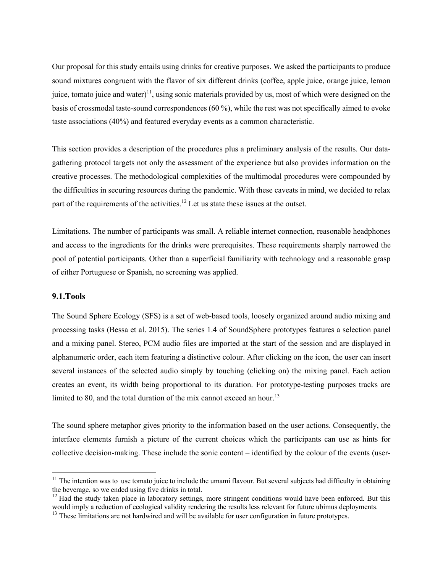Our proposal for this study entails using drinks for creative purposes. We asked the participants to produce sound mixtures congruent with the flavor of six different drinks (coffee, apple juice, orange juice, lemon juice, tomato juice and water)<sup>11</sup>, using sonic materials provided by us, most of which were designed on the basis of crossmodal taste-sound correspondences (60 %), while the rest was not specifically aimed to evoke taste associations (40%) and featured everyday events as a common characteristic.

This section provides a description of the procedures plus a preliminary analysis of the results. Our datagathering protocol targets not only the assessment of the experience but also provides information on the creative processes. The methodological complexities of the multimodal procedures were compounded by the difficulties in securing resources during the pandemic. With these caveats in mind, we decided to relax part of the requirements of the activities.<sup>12</sup> Let us state these issues at the outset.

Limitations. The number of participants was small. A reliable internet connection, reasonable headphones and access to the ingredients for the drinks were prerequisites. These requirements sharply narrowed the pool of potential participants. Other than a superficial familiarity with technology and a reasonable grasp of either Portuguese or Spanish, no screening was applied.

### **9.1.Tools**

The Sound Sphere Ecology (SFS) is a set of web-based tools, loosely organized around audio mixing and processing tasks (Bessa et al. 2015). The series 1.4 of SoundSphere prototypes features a selection panel and a mixing panel. Stereo, PCM audio files are imported at the start of the session and are displayed in alphanumeric order, each item featuring a distinctive colour. After clicking on the icon, the user can insert several instances of the selected audio simply by touching (clicking on) the mixing panel. Each action creates an event, its width being proportional to its duration. For prototype-testing purposes tracks are limited to 80, and the total duration of the mix cannot exceed an hour.<sup>13</sup>

The sound sphere metaphor gives priority to the information based on the user actions. Consequently, the interface elements furnish a picture of the current choices which the participants can use as hints for collective decision-making. These include the sonic content – identified by the colour of the events (user-

 $<sup>11</sup>$  The intention was to use tomato juice to include the umami flavour. But several subjects had difficulty in obtaining</sup> the beverage, so we ended using five drinks in total.

 $12$  Had the study taken place in laboratory settings, more stringent conditions would have been enforced. But this would imply a reduction of ecological validity rendering the results less relevant for future ubimus deployments.

<sup>&</sup>lt;sup>13</sup> These limitations are not hardwired and will be available for user configuration in future prototypes.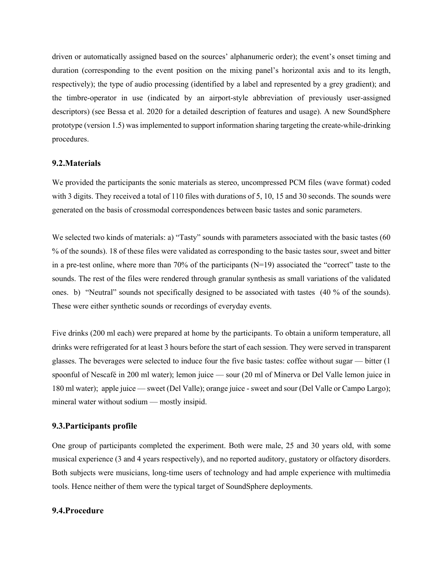driven or automatically assigned based on the sources' alphanumeric order); the event's onset timing and duration (corresponding to the event position on the mixing panel's horizontal axis and to its length, respectively); the type of audio processing (identified by a label and represented by a grey gradient); and the timbre-operator in use (indicated by an airport-style abbreviation of previously user-assigned descriptors) (see Bessa et al. 2020 for a detailed description of features and usage). A new SoundSphere prototype (version 1.5) was implemented to support information sharing targeting the create-while-drinking procedures.

### **9.2.Materials**

We provided the participants the sonic materials as stereo, uncompressed PCM files (wave format) coded with 3 digits. They received a total of 110 files with durations of 5, 10, 15 and 30 seconds. The sounds were generated on the basis of crossmodal correspondences between basic tastes and sonic parameters.

We selected two kinds of materials: a) "Tasty" sounds with parameters associated with the basic tastes (60) % of the sounds). 18 of these files were validated as corresponding to the basic tastes sour, sweet and bitter in a pre-test online, where more than 70% of the participants  $(N=19)$  associated the "correct" taste to the sounds. The rest of the files were rendered through granular synthesis as small variations of the validated ones. b) "Neutral" sounds not specifically designed to be associated with tastes (40 % of the sounds). These were either synthetic sounds or recordings of everyday events.

Five drinks (200 ml each) were prepared at home by the participants. To obtain a uniform temperature, all drinks were refrigerated for at least 3 hours before the start of each session. They were served in transparent glasses. The beverages were selected to induce four the five basic tastes: coffee without sugar — bitter (1 spoonful of Nescafé in 200 ml water); lemon juice — sour (20 ml of Minerva or Del Valle lemon juice in 180 ml water); apple juice — sweet (Del Valle); orange juice - sweet and sour (Del Valle or Campo Largo); mineral water without sodium — mostly insipid.

# **9.3.Participants profile**

One group of participants completed the experiment. Both were male, 25 and 30 years old, with some musical experience (3 and 4 years respectively), and no reported auditory, gustatory or olfactory disorders. Both subjects were musicians, long-time users of technology and had ample experience with multimedia tools. Hence neither of them were the typical target of SoundSphere deployments.

### **9.4.Procedure**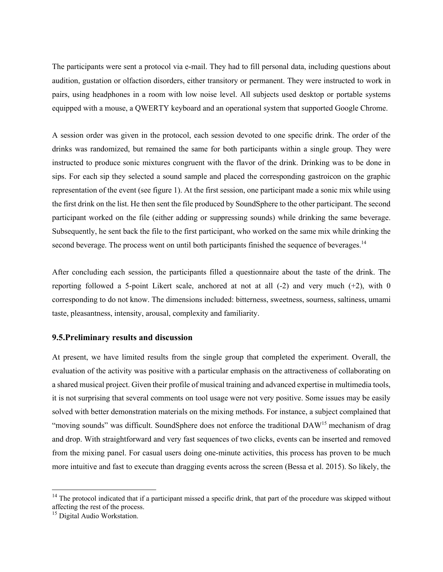The participants were sent a protocol via e-mail. They had to fill personal data, including questions about audition, gustation or olfaction disorders, either transitory or permanent. They were instructed to work in pairs, using headphones in a room with low noise level. All subjects used desktop or portable systems equipped with a mouse, a QWERTY keyboard and an operational system that supported Google Chrome.

A session order was given in the protocol, each session devoted to one specific drink. The order of the drinks was randomized, but remained the same for both participants within a single group. They were instructed to produce sonic mixtures congruent with the flavor of the drink. Drinking was to be done in sips. For each sip they selected a sound sample and placed the corresponding gastroicon on the graphic representation of the event (see figure 1). At the first session, one participant made a sonic mix while using the first drink on the list. He then sent the file produced by SoundSphere to the other participant. The second participant worked on the file (either adding or suppressing sounds) while drinking the same beverage. Subsequently, he sent back the file to the first participant, who worked on the same mix while drinking the second beverage. The process went on until both participants finished the sequence of beverages.<sup>14</sup>

After concluding each session, the participants filled a questionnaire about the taste of the drink. The reporting followed a 5-point Likert scale, anchored at not at all  $(-2)$  and very much  $(+2)$ , with 0 corresponding to do not know. The dimensions included: bitterness, sweetness, sourness, saltiness, umami taste, pleasantness, intensity, arousal, complexity and familiarity.

# **9.5.Preliminary results and discussion**

At present, we have limited results from the single group that completed the experiment. Overall, the evaluation of the activity was positive with a particular emphasis on the attractiveness of collaborating on a shared musical project. Given their profile of musical training and advanced expertise in multimedia tools, it is not surprising that several comments on tool usage were not very positive. Some issues may be easily solved with better demonstration materials on the mixing methods. For instance, a subject complained that "moving sounds" was difficult. SoundSphere does not enforce the traditional DAW<sup>15</sup> mechanism of drag and drop. With straightforward and very fast sequences of two clicks, events can be inserted and removed from the mixing panel. For casual users doing one-minute activities, this process has proven to be much more intuitive and fast to execute than dragging events across the screen (Bessa et al. 2015). So likely, the

 $14$  The protocol indicated that if a participant missed a specific drink, that part of the procedure was skipped without affecting the rest of the process.

<sup>&</sup>lt;sup>15</sup> Digital Audio Workstation.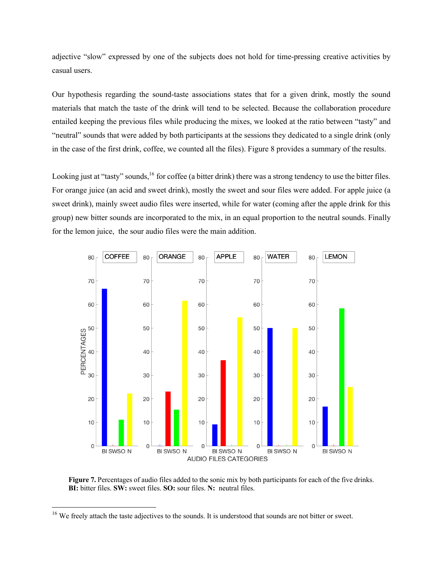adjective "slow" expressed by one of the subjects does not hold for time-pressing creative activities by casual users.

Our hypothesis regarding the sound-taste associations states that for a given drink, mostly the sound materials that match the taste of the drink will tend to be selected. Because the collaboration procedure entailed keeping the previous files while producing the mixes, we looked at the ratio between "tasty" and "neutral" sounds that were added by both participants at the sessions they dedicated to a single drink (only in the case of the first drink, coffee, we counted all the files). Figure 8 provides a summary of the results.

Looking just at "tasty" sounds,<sup>16</sup> for coffee (a bitter drink) there was a strong tendency to use the bitter files. For orange juice (an acid and sweet drink), mostly the sweet and sour files were added. For apple juice (a sweet drink), mainly sweet audio files were inserted, while for water (coming after the apple drink for this group) new bitter sounds are incorporated to the mix, in an equal proportion to the neutral sounds. Finally for the lemon juice, the sour audio files were the main addition.



**Figure 7.** Percentages of audio files added to the sonic mix by both participants for each of the five drinks. **BI:** bitter files. **SW:** sweet files. **SO:** sour files. **N:** neutral files.

<sup>&</sup>lt;sup>16</sup> We freely attach the taste adjectives to the sounds. It is understood that sounds are not bitter or sweet.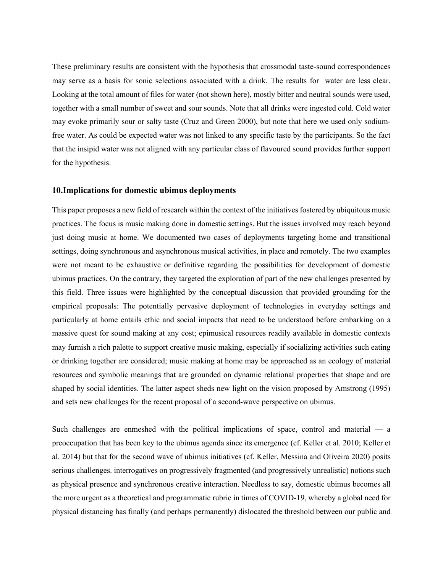These preliminary results are consistent with the hypothesis that crossmodal taste-sound correspondences may serve as a basis for sonic selections associated with a drink. The results for water are less clear. Looking at the total amount of files for water (not shown here), mostly bitter and neutral sounds were used, together with a small number of sweet and sour sounds. Note that all drinks were ingested cold. Cold water may evoke primarily sour or salty taste (Cruz and Green 2000), but note that here we used only sodiumfree water. As could be expected water was not linked to any specific taste by the participants. So the fact that the insipid water was not aligned with any particular class of flavoured sound provides further support for the hypothesis.

### **10.Implications for domestic ubimus deployments**

This paper proposes a new field of research within the context of the initiatives fostered by ubiquitous music practices. The focus is music making done in domestic settings. But the issues involved may reach beyond just doing music at home. We documented two cases of deployments targeting home and transitional settings, doing synchronous and asynchronous musical activities, in place and remotely. The two examples were not meant to be exhaustive or definitive regarding the possibilities for development of domestic ubimus practices. On the contrary, they targeted the exploration of part of the new challenges presented by this field. Three issues were highlighted by the conceptual discussion that provided grounding for the empirical proposals: The potentially pervasive deployment of technologies in everyday settings and particularly at home entails ethic and social impacts that need to be understood before embarking on a massive quest for sound making at any cost; epimusical resources readily available in domestic contexts may furnish a rich palette to support creative music making, especially if socializing activities such eating or drinking together are considered; music making at home may be approached as an ecology of material resources and symbolic meanings that are grounded on dynamic relational properties that shape and are shaped by social identities. The latter aspect sheds new light on the vision proposed by Amstrong (1995) and sets new challenges for the recent proposal of a second-wave perspective on ubimus.

Such challenges are enmeshed with the political implications of space, control and material — a preoccupation that has been key to the ubimus agenda since its emergence (cf. Keller et al. 2010; Keller et al. 2014) but that for the second wave of ubimus initiatives (cf. Keller, Messina and Oliveira 2020) posits serious challenges. interrogatives on progressively fragmented (and progressively unrealistic) notions such as physical presence and synchronous creative interaction. Needless to say, domestic ubimus becomes all the more urgent as a theoretical and programmatic rubric in times of COVID-19, whereby a global need for physical distancing has finally (and perhaps permanently) dislocated the threshold between our public and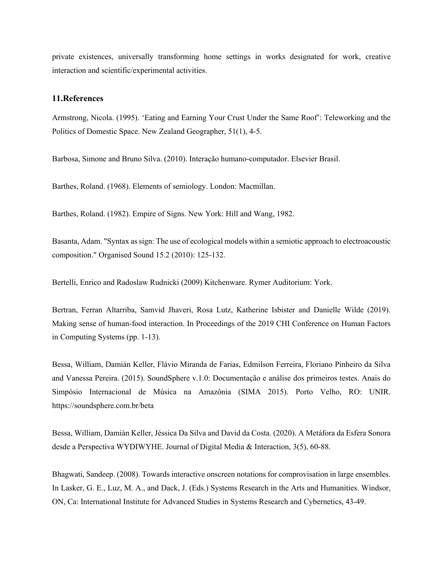private existences, universally transforming home settings in works designated for work, creative interaction and scientific/experimental activities.

#### **11.References**

Armstrong, Nicola. (1995). 'Eating and Earning Your Crust Under the Same Roof': Teleworking and the Politics of Domestic Space. New Zealand Geographer, 51(1), 4-5.

Barbosa, Simone and Bruno Silva. (2010). Interação humano-computador. Elsevier Brasil.

Barthes, Roland. (1968). Elements of semiology. London: Macmillan.

Barthes, Roland. (1982). Empire of Signs. New York: Hill and Wang, 1982.

Basanta, Adam. "Syntax as sign: The use of ecological models within a semiotic approach to electroacoustic composition." Organised Sound 15.2 (2010): 125-132.

Bertelli, Enrico and Radoslaw Rudnicki (2009) Kitchenware. Rymer Auditorium: York.

Bertran, Ferran Altarriba, Samvid Jhaveri, Rosa Lutz, Katherine Isbister and Danielle Wilde (2019). Making sense of human-food interaction. In Proceedings of the 2019 CHI Conference on Human Factors in Computing Systems (pp. 1-13).

Bessa, William, Damián Keller, Flávio Miranda de Farias, Edmilson Ferreira, Floriano Pinheiro da Silva and Vanessa Pereira. (2015). SoundSphere v.1.0: Documentação e análise dos primeiros testes. Anais do Simpósio Internacional de Música na Amazônia (SIMA 2015). Porto Velho, RO: UNIR. https://soundsphere.com.br/beta

Bessa, William, Damián Keller, Jéssica Da Silva and David da Costa. (2020). A Metáfora da Esfera Sonora desde a Perspectiva WYDIWYHE. Journal of Digital Media & Interaction, 3(5), 60-88.

Bhagwati, Sandeep. (2008). Towards interactive onscreen notations for comprovisation in large ensembles. In Lasker, G. E., Luz, M. A., and Dack, J. (Eds.) Systems Research in the Arts and Humanities. Windsor, ON, Ca: International Institute for Advanced Studies in Systems Research and Cybernetics, 43-49.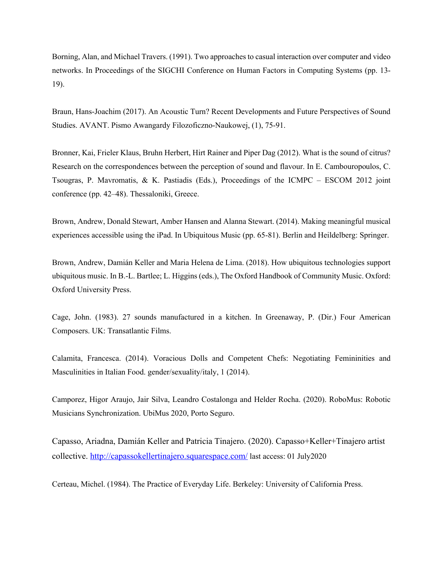Borning, Alan, and Michael Travers. (1991). Two approaches to casual interaction over computer and video networks. In Proceedings of the SIGCHI Conference on Human Factors in Computing Systems (pp. 13- 19).

Braun, Hans-Joachim (2017). An Acoustic Turn? Recent Developments and Future Perspectives of Sound Studies. AVANT. Pismo Awangardy Filozoficzno-Naukowej, (1), 75-91.

Bronner, Kai, Frieler Klaus, Bruhn Herbert, Hirt Rainer and Piper Dag (2012). What is the sound of citrus? Research on the correspondences between the perception of sound and flavour. In E. Cambouropoulos, C. Tsougras, P. Mavromatis, & K. Pastiadis (Eds.), Proceedings of the ICMPC – ESCOM 2012 joint conference (pp. 42–48). Thessaloniki, Greece.

Brown, Andrew, Donald Stewart, Amber Hansen and Alanna Stewart. (2014). Making meaningful musical experiences accessible using the iPad. In Ubiquitous Music (pp. 65-81). Berlin and Heildelberg: Springer.

Brown, Andrew, Damián Keller and Maria Helena de Lima. (2018). How ubiquitous technologies support ubiquitous music. In B.-L. Bartlee; L. Higgins (eds.), The Oxford Handbook of Community Music. Oxford: Oxford University Press.

Cage, John. (1983). 27 sounds manufactured in a kitchen. In Greenaway, P. (Dir.) Four American Composers. UK: Transatlantic Films.

Calamita, Francesca. (2014). Voracious Dolls and Competent Chefs: Negotiating Femininities and Masculinities in Italian Food. gender/sexuality/italy, 1 (2014).

Camporez, Higor Araujo, Jair Silva, Leandro Costalonga and Helder Rocha. (2020). RoboMus: Robotic Musicians Synchronization. UbiMus 2020, Porto Seguro.

Capasso, Ariadna, Damián Keller and Patricia Tinajero. (2020). Capasso+Keller+Tinajero artist collective. http://capassokellertinajero.squarespace.com/ last access: 01 July2020

Certeau, Michel. (1984). The Practice of Everyday Life. Berkeley: University of California Press.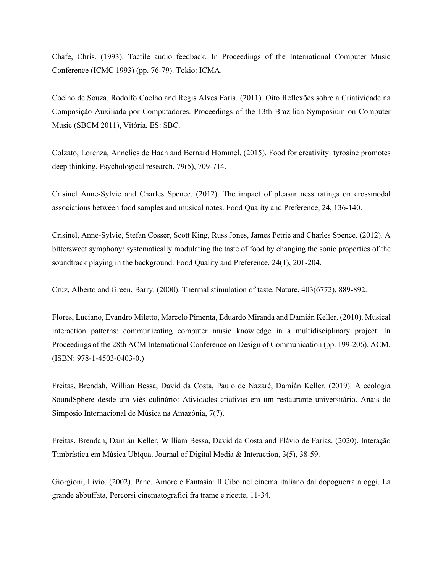Chafe, Chris. (1993). Tactile audio feedback. In Proceedings of the International Computer Music Conference (ICMC 1993) (pp. 76-79). Tokio: ICMA.

Coelho de Souza, Rodolfo Coelho and Regis Alves Faria. (2011). Oito Reflexões sobre a Criatividade na Composição Auxiliada por Computadores. Proceedings of the 13th Brazilian Symposium on Computer Music (SBCM 2011), Vitória, ES: SBC.

Colzato, Lorenza, Annelies de Haan and Bernard Hommel. (2015). Food for creativity: tyrosine promotes deep thinking. Psychological research, 79(5), 709-714.

Crisinel Anne-Sylvie and Charles Spence. (2012). The impact of pleasantness ratings on crossmodal associations between food samples and musical notes. Food Quality and Preference, 24, 136-140.

Crisinel, Anne-Sylvie, Stefan Cosser, Scott King, Russ Jones, James Petrie and Charles Spence. (2012). A bittersweet symphony: systematically modulating the taste of food by changing the sonic properties of the soundtrack playing in the background. Food Quality and Preference, 24(1), 201-204.

Cruz, Alberto and Green, Barry. (2000). Thermal stimulation of taste. Nature, 403(6772), 889-892.

Flores, Luciano, Evandro Miletto, Marcelo Pimenta, Eduardo Miranda and Damián Keller. (2010). Musical interaction patterns: communicating computer music knowledge in a multidisciplinary project. In Proceedings of the 28th ACM International Conference on Design of Communication (pp. 199-206). ACM. (ISBN: 978-1-4503-0403-0.)

Freitas, Brendah, Willian Bessa, David da Costa, Paulo de Nazaré, Damián Keller. (2019). A ecologia SoundSphere desde um viés culinário: Atividades criativas em um restaurante universitário. Anais do Simpósio Internacional de Música na Amazônia, 7(7).

Freitas, Brendah, Damián Keller, William Bessa, David da Costa and Flávio de Farias. (2020). Interação Timbrística em Música Ubíqua. Journal of Digital Media & Interaction, 3(5), 38-59.

Giorgioni, Livio. (2002). Pane, Amore e Fantasia: Il Cibo nel cinema italiano dal dopoguerra a oggi. La grande abbuffata, Percorsi cinematografici fra trame e ricette, 11-34.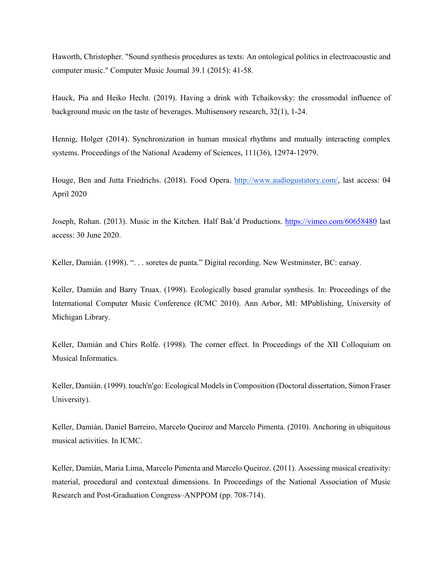Haworth, Christopher. "Sound synthesis procedures as texts: An ontological politics in electroacoustic and computer music." Computer Music Journal 39.1 (2015): 41-58.

Hauck, Pia and Heiko Hecht. (2019). Having a drink with Tchaikovsky: the crossmodal influence of background music on the taste of beverages. Multisensory research, 32(1), 1-24.

Hennig, Holger (2014). Synchronization in human musical rhythms and mutually interacting complex systems. Proceedings of the National Academy of Sciences, 111(36), 12974-12979.

Houge, Ben and Jutta Friedrichs. (2018). Food Opera. http://www.audiogustatory.com/, last access: 04 April 2020

Joseph, Rohan. (2013). Music in the Kitchen. Half Bak'd Productions. https://vimeo.com/60658480 last access: 30 June 2020.

Keller, Damián. (1998). ". . . soretes de punta." Digital recording. New Westminster, BC: earsay.

Keller, Damián and Barry Truax. (1998). Ecologically based granular synthesis. In: Proceedings of the International Computer Music Conference (ICMC 2010). Ann Arbor, MI: MPublishing, University of Michigan Library.

Keller, Damián and Chirs Rolfe. (1998). The corner effect. In Proceedings of the XII Colloquium on Musical Informatics.

Keller, Damián. (1999). touch'n'go: Ecological Models in Composition (Doctoral dissertation, Simon Fraser University).

Keller, Damián, Daniel Barreiro, Marcelo Queiroz and Marcelo Pimenta. (2010). Anchoring in ubiquitous musical activities. In ICMC.

Keller, Damián, Maria Lima, Marcelo Pimenta and Marcelo Queiroz. (2011). Assessing musical creativity: material, procedural and contextual dimensions. In Proceedings of the National Association of Music Research and Post-Graduation Congress–ANPPOM (pp. 708-714).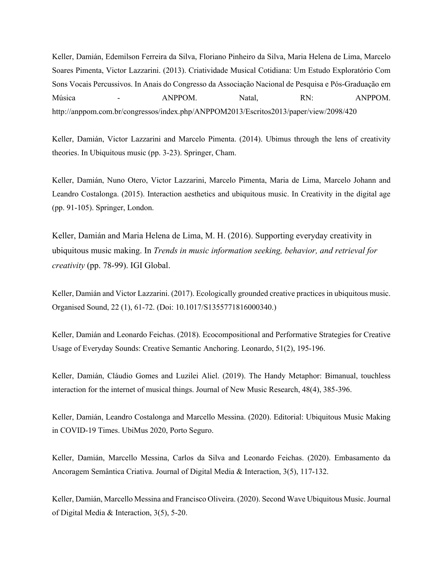Keller, Damián, Edemilson Ferreira da Silva, Floriano Pinheiro da Silva, Maria Helena de Lima, Marcelo Soares Pimenta, Victor Lazzarini. (2013). Criatividade Musical Cotidiana: Um Estudo Exploratório Com Sons Vocais Percussivos. In Anais do Congresso da Associação Nacional de Pesquisa e Pós-Graduação em Música - ANPPOM. Natal, RN: ANPPOM. http://anppom.com.br/congressos/index.php/ANPPOM2013/Escritos2013/paper/view/2098/420

Keller, Damián, Victor Lazzarini and Marcelo Pimenta. (2014). Ubimus through the lens of creativity theories. In Ubiquitous music (pp. 3-23). Springer, Cham.

Keller, Damián, Nuno Otero, Victor Lazzarini, Marcelo Pimenta, Maria de Lima, Marcelo Johann and Leandro Costalonga. (2015). Interaction aesthetics and ubiquitous music. In Creativity in the digital age (pp. 91-105). Springer, London.

Keller, Damián and Maria Helena de Lima, M. H. (2016). Supporting everyday creativity in ubiquitous music making. In *Trends in music information seeking, behavior, and retrieval for creativity* (pp. 78-99). IGI Global.

Keller, Damián and Victor Lazzarini. (2017). Ecologically grounded creative practices in ubiquitous music. Organised Sound, 22 (1), 61-72. (Doi: 10.1017/S1355771816000340.)

Keller, Damián and Leonardo Feichas. (2018). Ecocompositional and Performative Strategies for Creative Usage of Everyday Sounds: Creative Semantic Anchoring. Leonardo, 51(2), 195-196.

Keller, Damián, Cláudio Gomes and Luzilei Aliel. (2019). The Handy Metaphor: Bimanual, touchless interaction for the internet of musical things. Journal of New Music Research, 48(4), 385-396.

Keller, Damián, Leandro Costalonga and Marcello Messina. (2020). Editorial: Ubiquitous Music Making in COVID-19 Times. UbiMus 2020, Porto Seguro.

Keller, Damián, Marcello Messina, Carlos da Silva and Leonardo Feichas. (2020). Embasamento da Ancoragem Semântica Criativa. Journal of Digital Media & Interaction, 3(5), 117-132.

Keller, Damián, Marcello Messina and Francisco Oliveira. (2020). Second Wave Ubiquitous Music. Journal of Digital Media & Interaction, 3(5), 5-20.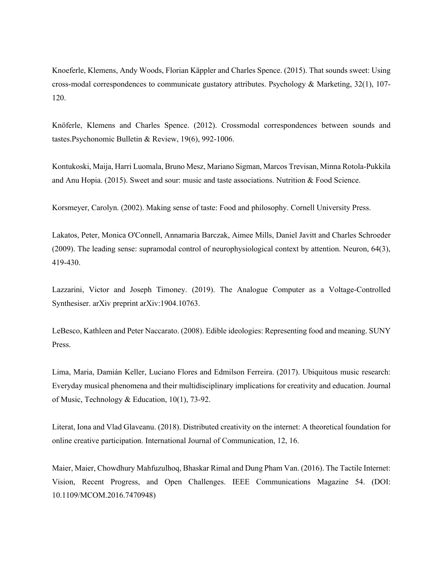Knoeferle, Klemens, Andy Woods, Florian Käppler and Charles Spence. (2015). That sounds sweet: Using cross‐modal correspondences to communicate gustatory attributes. Psychology & Marketing, 32(1), 107- 120.

Knöferle, Klemens and Charles Spence. (2012). Crossmodal correspondences between sounds and tastes.Psychonomic Bulletin & Review, 19(6), 992-1006.

Kontukoski, Maija, Harri Luomala, Bruno Mesz, Mariano Sigman, Marcos Trevisan, Minna Rotola-Pukkila and Anu Hopia. (2015). Sweet and sour: music and taste associations. Nutrition & Food Science.

Korsmeyer, Carolyn. (2002). Making sense of taste: Food and philosophy. Cornell University Press.

Lakatos, Peter, Monica O'Connell, Annamaria Barczak, Aimee Mills, Daniel Javitt and Charles Schroeder (2009). The leading sense: supramodal control of neurophysiological context by attention. Neuron, 64(3), 419-430.

Lazzarini, Victor and Joseph Timoney. (2019). The Analogue Computer as a Voltage-Controlled Synthesiser. arXiv preprint arXiv:1904.10763.

LeBesco, Kathleen and Peter Naccarato. (2008). Edible ideologies: Representing food and meaning. SUNY Press.

Lima, Maria, Damián Keller, Luciano Flores and Edmilson Ferreira. (2017). Ubiquitous music research: Everyday musical phenomena and their multidisciplinary implications for creativity and education. Journal of Music, Technology & Education, 10(1), 73-92.

Literat, Iona and Vlad Glaveanu. (2018). Distributed creativity on the internet: A theoretical foundation for online creative participation. International Journal of Communication, 12, 16.

Maier, Maier, Chowdhury Mahfuzulhoq, Bhaskar Rimal and Dung Pham Van. (2016). The Tactile Internet: Vision, Recent Progress, and Open Challenges. IEEE Communications Magazine 54. (DOI: 10.1109/MCOM.2016.7470948)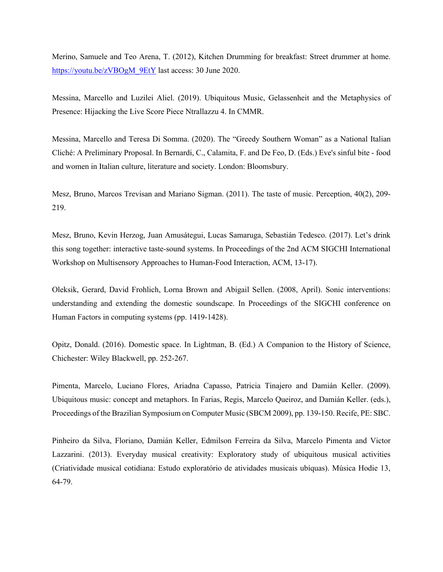Merino, Samuele and Teo Arena, T. (2012), Kitchen Drumming for breakfast: Street drummer at home. https://youtu.be/zVBOgM\_9EtY last access: 30 June 2020.

Messina, Marcello and Luzilei Aliel. (2019). Ubiquitous Music, Gelassenheit and the Metaphysics of Presence: Hijacking the Live Score Piece Ntrallazzu 4. In CMMR.

Messina, Marcello and Teresa Di Somma. (2020). The "Greedy Southern Woman" as a National Italian Cliché: A Preliminary Proposal. In Bernardi, C., Calamita, F. and De Feo, D. (Eds.) Eve's sinful bite - food and women in Italian culture, literature and society. London: Bloomsbury.

Mesz, Bruno, Marcos Trevisan and Mariano Sigman. (2011). The taste of music. Perception, 40(2), 209- 219.

Mesz, Bruno, Kevin Herzog, Juan Amusátegui, Lucas Samaruga, Sebastián Tedesco. (2017). Let's drink this song together: interactive taste-sound systems. In Proceedings of the 2nd ACM SIGCHI International Workshop on Multisensory Approaches to Human-Food Interaction, ACM, 13-17).

Oleksik, Gerard, David Frohlich, Lorna Brown and Abigail Sellen. (2008, April). Sonic interventions: understanding and extending the domestic soundscape. In Proceedings of the SIGCHI conference on Human Factors in computing systems (pp. 1419-1428).

Opitz, Donald. (2016). Domestic space. In Lightman, B. (Ed.) A Companion to the History of Science, Chichester: Wiley Blackwell, pp. 252-267.

Pimenta, Marcelo, Luciano Flores, Ariadna Capasso, Patricia Tinajero and Damián Keller. (2009). Ubiquitous music: concept and metaphors. In Farias, Regis, Marcelo Queiroz, and Damián Keller. (eds.), Proceedings of the Brazilian Symposium on Computer Music (SBCM 2009), pp. 139-150. Recife, PE: SBC.

Pinheiro da Silva, Floriano, Damián Keller, Edmilson Ferreira da Silva, Marcelo Pimenta and Victor Lazzarini. (2013). Everyday musical creativity: Exploratory study of ubiquitous musical activities (Criatividade musical cotidiana: Estudo exploratório de atividades musicais ubíquas). Música Hodie 13, 64-79.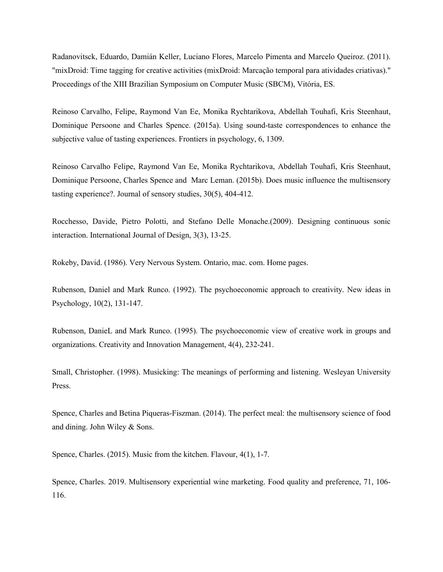Radanovitsck, Eduardo, Damián Keller, Luciano Flores, Marcelo Pimenta and Marcelo Queiroz. (2011). "mixDroid: Time tagging for creative activities (mixDroid: Marcação temporal para atividades criativas)." Proceedings of the XIII Brazilian Symposium on Computer Music (SBCM), Vitória, ES.

Reinoso Carvalho, Felipe, Raymond Van Ee, Monika Rychtarikova, Abdellah Touhafi, Kris Steenhaut, Dominique Persoone and Charles Spence. (2015a). Using sound-taste correspondences to enhance the subjective value of tasting experiences. Frontiers in psychology, 6, 1309.

Reinoso Carvalho Felipe, Raymond Van Ee, Monika Rychtarikova, Abdellah Touhafi, Kris Steenhaut, Dominique Persoone, Charles Spence and Marc Leman. (2015b). Does music influence the multisensory tasting experience?. Journal of sensory studies, 30(5), 404-412.

Rocchesso, Davide, Pietro Polotti, and Stefano Delle Monache.(2009). Designing continuous sonic interaction. International Journal of Design, 3(3), 13-25.

Rokeby, David. (1986). Very Nervous System. Ontario, mac. com. Home pages.

Rubenson, Daniel and Mark Runco. (1992). The psychoeconomic approach to creativity. New ideas in Psychology, 10(2), 131-147.

Rubenson, DanieL and Mark Runco. (1995). The psychoeconomic view of creative work in groups and organizations. Creativity and Innovation Management, 4(4), 232-241.

Small, Christopher. (1998). Musicking: The meanings of performing and listening. Wesleyan University Press.

Spence, Charles and Betina Piqueras-Fiszman. (2014). The perfect meal: the multisensory science of food and dining. John Wiley & Sons.

Spence, Charles. (2015). Music from the kitchen. Flavour, 4(1), 1-7.

Spence, Charles. 2019. Multisensory experiential wine marketing. Food quality and preference, 71, 106- 116.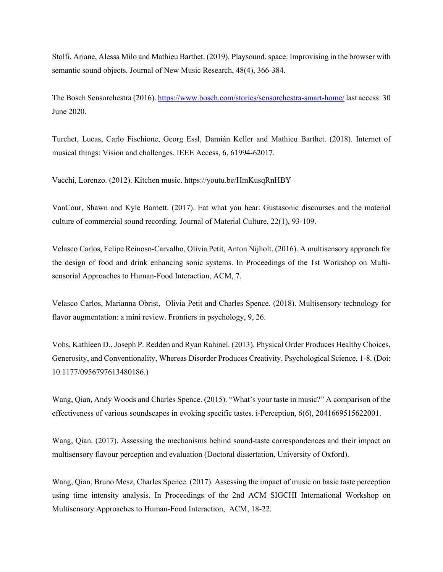Stolfi, Ariane, Alessa Milo and Mathieu Barthet. (2019). Playsound. space: Improvising in the browser with semantic sound objects. Journal of New Music Research, 48(4), 366-384.

The Bosch Sensorchestra (2016). https://www.bosch.com/stories/sensorchestra-smart-home/ last access: 30 June 2020.

Turchet, Lucas, Carlo Fischione, Georg Essl, Damián Keller and Mathieu Barthet. (2018). Internet of musical things: Vision and challenges. IEEE Access, 6, 61994-62017.

Vacchi, Lorenzo. (2012). Kitchen music. https://youtu.be/HmKusqRnHBY

VanCour, Shawn and Kyle Barnett. (2017). Eat what you hear: Gustasonic discourses and the material culture of commercial sound recording. Journal of Material Culture, 22(1), 93-109.

Velasco Carlos, Felipe Reinoso-Carvalho, Olivia Petit, Anton Nijholt. (2016). A multisensory approach for the design of food and drink enhancing sonic systems. In Proceedings of the 1st Workshop on Multisensorial Approaches to Human-Food Interaction, ACM, 7.

Velasco Carlos, Marianna Obrist, Olivia Petit and Charles Spence. (2018). Multisensory technology for flavor augmentation: a mini review. Frontiers in psychology, 9, 26.

Vohs, Kathleen D., Joseph P. Redden and Ryan Rahinel. (2013). Physical Order Produces Healthy Choices, Generosity, and Conventionality, Whereas Disorder Produces Creativity. Psychological Science, 1-8. (Doi: 10.1177/0956797613480186.)

Wang, Qian, Andy Woods and Charles Spence. (2015). "What's your taste in music?" A comparison of the effectiveness of various soundscapes in evoking specific tastes. i-Perception, 6(6), 2041669515622001.

Wang, Qian. (2017). Assessing the mechanisms behind sound-taste correspondences and their impact on multisensory flavour perception and evaluation (Doctoral dissertation, University of Oxford).

Wang, Qian, Bruno Mesz, Charles Spence. (2017). Assessing the impact of music on basic taste perception using time intensity analysis. In Proceedings of the 2nd ACM SIGCHI International Workshop on Multisensory Approaches to Human-Food Interaction, ACM, 18-22.